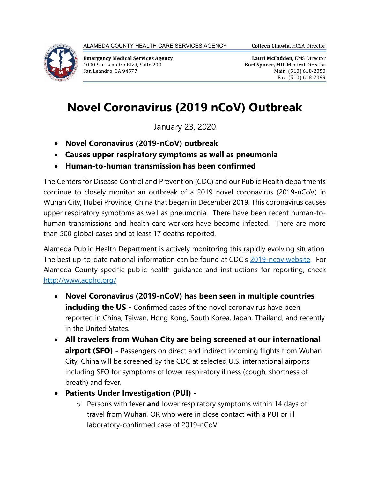

Emergency Medical Services Agency 1000 San Leandro Blvd, Suite 200 San Leandro, CA 94577

## Novel Coronavirus (2019 nCoV) Outbreak

January 23, 2020

- Novel Coronavirus (2019-nCoV) outbreak
- Causes upper respiratory symptoms as well as pneumonia
- Human-to-human transmission has been confirmed

The Centers for Disease Control and Prevention (CDC) and our Public Health departments continue to closely monitor an outbreak of a 2019 novel coronavirus (2019-nCoV) in Wuhan City, Hubei Province, China that began in December 2019. This coronavirus causes upper respiratory symptoms as well as pneumonia. There have been recent human-tohuman transmissions and health care workers have become infected. There are more than 500 global cases and at least 17 deaths reported.

Alameda Public Health Department is actively monitoring this rapidly evolving situation. The best up-to-date national information can be found at CDC's 2019-ncov website. For Alameda County specific public health guidance and instructions for reporting, check http://www.acphd.org/

- Novel Coronavirus (2019-nCoV) has been seen in multiple countries including the US - Confirmed cases of the novel coronavirus have been reported in China, Taiwan, Hong Kong, South Korea, Japan, Thailand, and recently in the United States.
- All travelers from Wuhan City are being screened at our international airport (SFO) - Passengers on direct and indirect incoming flights from Wuhan City, China will be screened by the CDC at selected U.S. international airports including SFO for symptoms of lower respiratory illness (cough, shortness of breath) and fever.
- Patients Under Investigation (PUI)
	- $\circ$  Persons with fever and lower respiratory symptoms within 14 days of travel from Wuhan, OR who were in close contact with a PUI or ill laboratory-confirmed case of 2019-nCoV